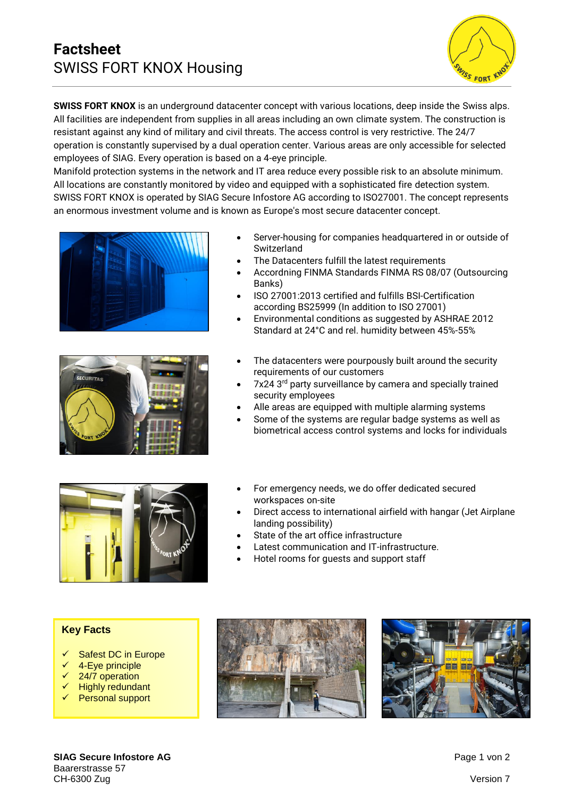# **Factsheet** SWISS FORT KNOX Housing



**SWISS FORT KNOX** is an underground datacenter concept with various locations, deep inside the Swiss alps. All facilities are independent from supplies in all areas including an own climate system. The construction is resistant against any kind of military and civil threats. The access control is very restrictive. The 24/7 operation is constantly supervised by a dual operation center. Various areas are only accessible for selected employees of SIAG. Every operation is based on a 4-eye principle.

Manifold protection systems in the network and IT area reduce every possible risk to an absolute minimum. All locations are constantly monitored by video and equipped with a sophisticated fire detection system. SWISS FORT KNOX is operated by SIAG Secure Infostore AG according to ISO27001. The concept represents an enormous investment volume and is known as Europe's most secure datacenter concept.





- Server-housing for companies headquartered in or outside of Switzerland
- The Datacenters fulfill the latest requirements
- Accordning FINMA Standards FINMA RS 08/07 (Outsourcing Banks)
- ISO 27001:2013 certified and fulfills BSI-Certification according BS25999 (In addition to ISO 27001)
- Environmental conditions as suggested by ASHRAE 2012 Standard at 24°C and rel. humidity between 45%-55%
- The datacenters were pourpously built around the security requirements of our customers
- 7x24 3<sup>rd</sup> party surveillance by camera and specially trained security employees
- Alle areas are equipped with multiple alarming systems
- Some of the systems are regular badge systems as well as biometrical access control systems and locks for individuals



- For emergency needs, we do offer dedicated secured workspaces on-site
- Direct access to international airfield with hangar (Jet Airplane landing possibility)
- State of the art office infrastructure
- Latest communication and IT-infrastructure.
- Hotel rooms for guests and support staff

## **Key Facts**

- Safest DC in Europe
- 4-Eye principle
- 24/7 operation
- **Highly redundant**
- ✓ Personal support